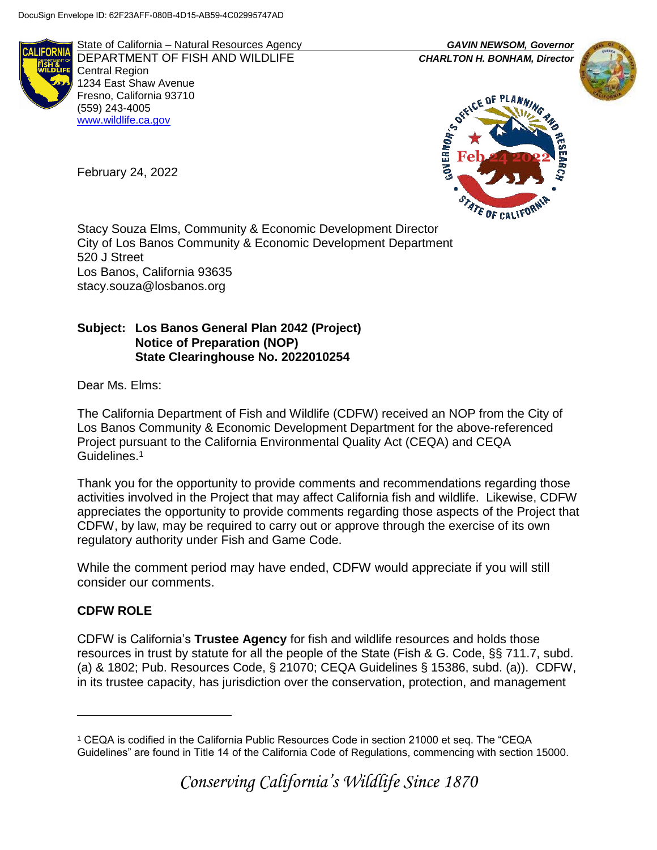

State of California – Natural Resources Agency *GAVIN NEWSOM, Governor* DEPARTMENT OF FISH AND WILDLIFE *CHARLTON H. BONHAM, Director*  Central Region 1234 East Shaw Avenue Fresno, California 93710 (559) 243-4005 [www.wildlife.ca.gov](http://www.cdfw.ca.gov/)





Stacy Souza Elms, Community & Economic Development Director City of Los Banos Community & Economic Development Department 520 J Street Los Banos, California 93635 stacy.souza@losbanos.org

# **Subject: Los Banos General Plan 2042 (Project) Notice of Preparation (NOP) State Clearinghouse No. 2022010254**

Dear Ms. Elms:

February 24, 2022

The California Department of Fish and Wildlife (CDFW) received an NOP from the City of Los Banos Community & Economic Development Department for the above-referenced Project pursuant to the California Environmental Quality Act (CEQA) and CEQA Guidelines.<sup>1</sup>

Thank you for the opportunity to provide comments and recommendations regarding those activities involved in the Project that may affect California fish and wildlife. Likewise, CDFW appreciates the opportunity to provide comments regarding those aspects of the Project that CDFW, by law, may be required to carry out or approve through the exercise of its own regulatory authority under Fish and Game Code.

While the comment period may have ended, CDFW would appreciate if you will still consider our comments.

## **CDFW ROLE**

 $\overline{a}$ 

CDFW is California's **Trustee Agency** for fish and wildlife resources and holds those resources in trust by statute for all the people of the State (Fish & G. Code, §§ 711.7, subd. (a) & 1802; Pub. Resources Code, § 21070; CEQA Guidelines § 15386, subd. (a)). CDFW, in its trustee capacity, has jurisdiction over the conservation, protection, and management

<sup>1</sup> CEQA is codified in the California Public Resources Code in section 21000 et seq. The "CEQA Guidelines" are found in Title 14 of the California Code of Regulations, commencing with section 15000.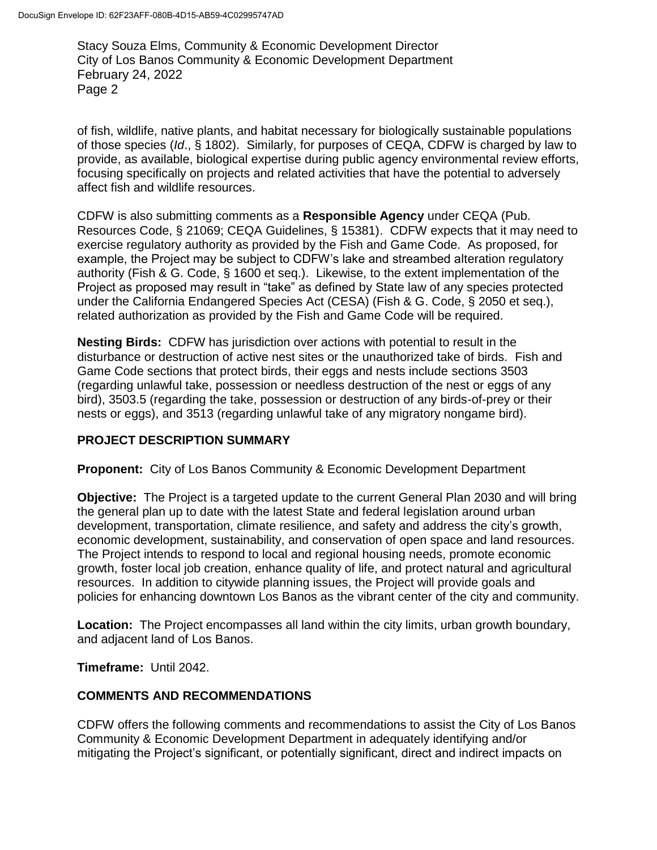of fish, wildlife, native plants, and habitat necessary for biologically sustainable populations of those species (*Id*., § 1802). Similarly, for purposes of CEQA, CDFW is charged by law to provide, as available, biological expertise during public agency environmental review efforts, focusing specifically on projects and related activities that have the potential to adversely affect fish and wildlife resources.

CDFW is also submitting comments as a **Responsible Agency** under CEQA (Pub. Resources Code, § 21069; CEQA Guidelines, § 15381). CDFW expects that it may need to exercise regulatory authority as provided by the Fish and Game Code. As proposed, for example, the Project may be subject to CDFW's lake and streambed alteration regulatory authority (Fish & G. Code, § 1600 et seq.). Likewise, to the extent implementation of the Project as proposed may result in "take" as defined by State law of any species protected under the California Endangered Species Act (CESA) (Fish & G. Code, § 2050 et seq.), related authorization as provided by the Fish and Game Code will be required.

**Nesting Birds:** CDFW has jurisdiction over actions with potential to result in the disturbance or destruction of active nest sites or the unauthorized take of birds. Fish and Game Code sections that protect birds, their eggs and nests include sections 3503 (regarding unlawful take, possession or needless destruction of the nest or eggs of any bird), 3503.5 (regarding the take, possession or destruction of any birds-of-prey or their nests or eggs), and 3513 (regarding unlawful take of any migratory nongame bird).

## **PROJECT DESCRIPTION SUMMARY**

**Proponent:** City of Los Banos Community & Economic Development Department

**Objective:** The Project is a targeted update to the current General Plan 2030 and will bring the general plan up to date with the latest State and federal legislation around urban development, transportation, climate resilience, and safety and address the city's growth, economic development, sustainability, and conservation of open space and land resources. The Project intends to respond to local and regional housing needs, promote economic growth, foster local job creation, enhance quality of life, and protect natural and agricultural resources. In addition to citywide planning issues, the Project will provide goals and policies for enhancing downtown Los Banos as the vibrant center of the city and community.

**Location:** The Project encompasses all land within the city limits, urban growth boundary, and adjacent land of Los Banos.

**Timeframe:** Until 2042.

## **COMMENTS AND RECOMMENDATIONS**

CDFW offers the following comments and recommendations to assist the City of Los Banos Community & Economic Development Department in adequately identifying and/or mitigating the Project's significant, or potentially significant, direct and indirect impacts on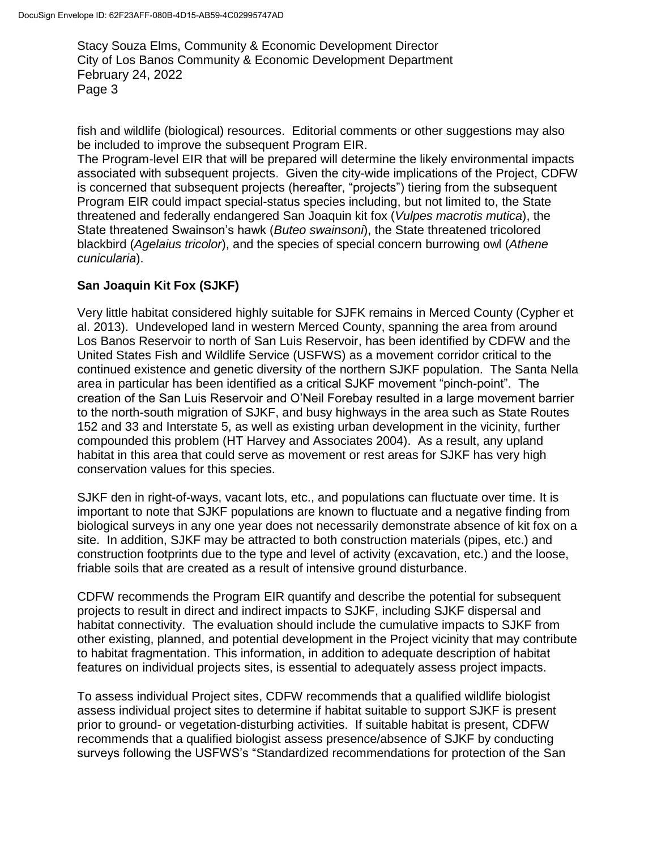fish and wildlife (biological) resources. Editorial comments or other suggestions may also be included to improve the subsequent Program EIR.

The Program-level EIR that will be prepared will determine the likely environmental impacts associated with subsequent projects. Given the city-wide implications of the Project, CDFW is concerned that subsequent projects (hereafter, "projects") tiering from the subsequent Program EIR could impact special-status species including, but not limited to, the State threatened and federally endangered San Joaquin kit fox (*Vulpes macrotis mutica*), the State threatened Swainson's hawk (*Buteo swainsoni*), the State threatened tricolored blackbird (*Agelaius tricolor*), and the species of special concern burrowing owl (*Athene cunicularia*).

## **San Joaquin Kit Fox (SJKF)**

Very little habitat considered highly suitable for SJFK remains in Merced County (Cypher et al. 2013). Undeveloped land in western Merced County, spanning the area from around Los Banos Reservoir to north of San Luis Reservoir, has been identified by CDFW and the United States Fish and Wildlife Service (USFWS) as a movement corridor critical to the continued existence and genetic diversity of the northern SJKF population. The Santa Nella area in particular has been identified as a critical SJKF movement "pinch-point". The creation of the San Luis Reservoir and O'Neil Forebay resulted in a large movement barrier to the north-south migration of SJKF, and busy highways in the area such as State Routes 152 and 33 and Interstate 5, as well as existing urban development in the vicinity, further compounded this problem (HT Harvey and Associates 2004). As a result, any upland habitat in this area that could serve as movement or rest areas for SJKF has very high conservation values for this species.

SJKF den in right-of-ways, vacant lots, etc., and populations can fluctuate over time. It is important to note that SJKF populations are known to fluctuate and a negative finding from biological surveys in any one year does not necessarily demonstrate absence of kit fox on a site. In addition, SJKF may be attracted to both construction materials (pipes, etc.) and construction footprints due to the type and level of activity (excavation, etc.) and the loose, friable soils that are created as a result of intensive ground disturbance.

CDFW recommends the Program EIR quantify and describe the potential for subsequent projects to result in direct and indirect impacts to SJKF, including SJKF dispersal and habitat connectivity. The evaluation should include the cumulative impacts to SJKF from other existing, planned, and potential development in the Project vicinity that may contribute to habitat fragmentation. This information, in addition to adequate description of habitat features on individual projects sites, is essential to adequately assess project impacts.

To assess individual Project sites, CDFW recommends that a qualified wildlife biologist assess individual project sites to determine if habitat suitable to support SJKF is present prior to ground- or vegetation-disturbing activities. If suitable habitat is present, CDFW recommends that a qualified biologist assess presence/absence of SJKF by conducting surveys following the USFWS's "Standardized recommendations for protection of the San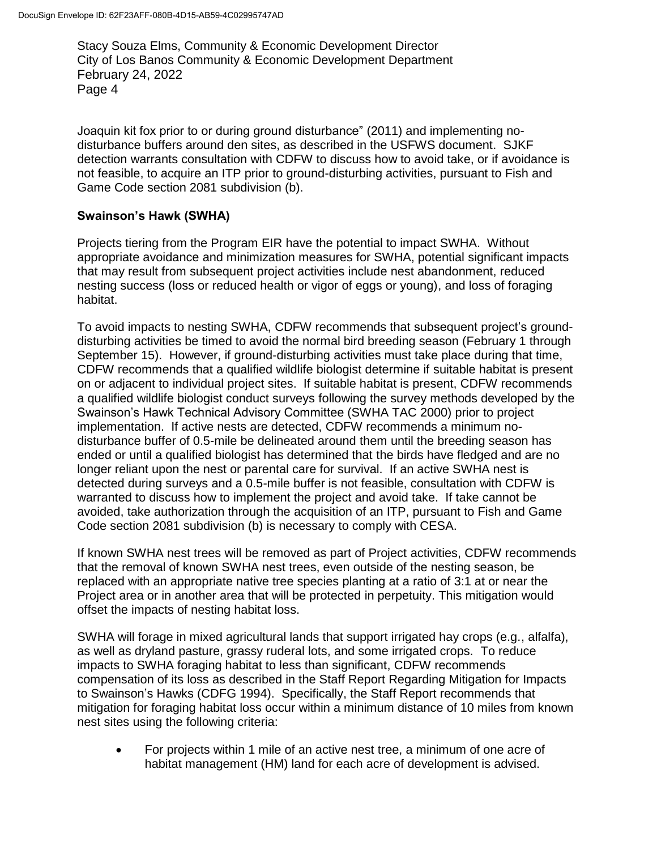Joaquin kit fox prior to or during ground disturbance" (2011) and implementing nodisturbance buffers around den sites, as described in the USFWS document. SJKF detection warrants consultation with CDFW to discuss how to avoid take, or if avoidance is not feasible, to acquire an ITP prior to ground-disturbing activities, pursuant to Fish and Game Code section 2081 subdivision (b).

#### **Swainson's Hawk (SWHA)**

Projects tiering from the Program EIR have the potential to impact SWHA. Without appropriate avoidance and minimization measures for SWHA, potential significant impacts that may result from subsequent project activities include nest abandonment, reduced nesting success (loss or reduced health or vigor of eggs or young), and loss of foraging habitat.

To avoid impacts to nesting SWHA, CDFW recommends that subsequent project's grounddisturbing activities be timed to avoid the normal bird breeding season (February 1 through September 15). However, if ground-disturbing activities must take place during that time, CDFW recommends that a qualified wildlife biologist determine if suitable habitat is present on or adjacent to individual project sites. If suitable habitat is present, CDFW recommends a qualified wildlife biologist conduct surveys following the survey methods developed by the Swainson's Hawk Technical Advisory Committee (SWHA TAC 2000) prior to project implementation. If active nests are detected, CDFW recommends a minimum nodisturbance buffer of 0.5-mile be delineated around them until the breeding season has ended or until a qualified biologist has determined that the birds have fledged and are no longer reliant upon the nest or parental care for survival. If an active SWHA nest is detected during surveys and a 0.5-mile buffer is not feasible, consultation with CDFW is warranted to discuss how to implement the project and avoid take. If take cannot be avoided, take authorization through the acquisition of an ITP, pursuant to Fish and Game Code section 2081 subdivision (b) is necessary to comply with CESA.

If known SWHA nest trees will be removed as part of Project activities, CDFW recommends that the removal of known SWHA nest trees, even outside of the nesting season, be replaced with an appropriate native tree species planting at a ratio of 3:1 at or near the Project area or in another area that will be protected in perpetuity. This mitigation would offset the impacts of nesting habitat loss.

SWHA will forage in mixed agricultural lands that support irrigated hay crops (e.g., alfalfa), as well as dryland pasture, grassy ruderal lots, and some irrigated crops. To reduce impacts to SWHA foraging habitat to less than significant, CDFW recommends compensation of its loss as described in the Staff Report Regarding Mitigation for Impacts to Swainson's Hawks (CDFG 1994). Specifically, the Staff Report recommends that mitigation for foraging habitat loss occur within a minimum distance of 10 miles from known nest sites using the following criteria:

 For projects within 1 mile of an active nest tree, a minimum of one acre of habitat management (HM) land for each acre of development is advised.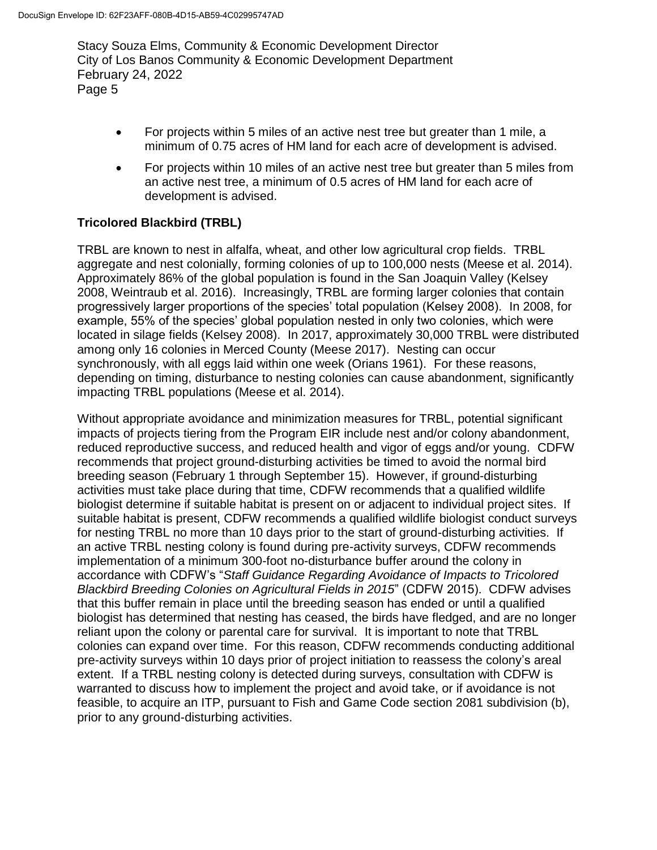- For projects within 5 miles of an active nest tree but greater than 1 mile, a minimum of 0.75 acres of HM land for each acre of development is advised.
- For projects within 10 miles of an active nest tree but greater than 5 miles from an active nest tree, a minimum of 0.5 acres of HM land for each acre of development is advised.

# **Tricolored Blackbird (TRBL)**

TRBL are known to nest in alfalfa, wheat, and other low agricultural crop fields. TRBL aggregate and nest colonially, forming colonies of up to 100,000 nests (Meese et al. 2014). Approximately 86% of the global population is found in the San Joaquin Valley (Kelsey 2008, Weintraub et al. 2016). Increasingly, TRBL are forming larger colonies that contain progressively larger proportions of the species' total population (Kelsey 2008). In 2008, for example, 55% of the species' global population nested in only two colonies, which were located in silage fields (Kelsey 2008). In 2017, approximately 30,000 TRBL were distributed among only 16 colonies in Merced County (Meese 2017). Nesting can occur synchronously, with all eggs laid within one week (Orians 1961). For these reasons, depending on timing, disturbance to nesting colonies can cause abandonment, significantly impacting TRBL populations (Meese et al. 2014).

Without appropriate avoidance and minimization measures for TRBL, potential significant impacts of projects tiering from the Program EIR include nest and/or colony abandonment, reduced reproductive success, and reduced health and vigor of eggs and/or young. CDFW recommends that project ground-disturbing activities be timed to avoid the normal bird breeding season (February 1 through September 15). However, if ground-disturbing activities must take place during that time, CDFW recommends that a qualified wildlife biologist determine if suitable habitat is present on or adjacent to individual project sites. If suitable habitat is present, CDFW recommends a qualified wildlife biologist conduct surveys for nesting TRBL no more than 10 days prior to the start of ground-disturbing activities. If an active TRBL nesting colony is found during pre-activity surveys, CDFW recommends implementation of a minimum 300-foot no-disturbance buffer around the colony in accordance with CDFW's "*Staff Guidance Regarding Avoidance of Impacts to Tricolored Blackbird Breeding Colonies on Agricultural Fields in 2015*" (CDFW 2015). CDFW advises that this buffer remain in place until the breeding season has ended or until a qualified biologist has determined that nesting has ceased, the birds have fledged, and are no longer reliant upon the colony or parental care for survival. It is important to note that TRBL colonies can expand over time. For this reason, CDFW recommends conducting additional pre-activity surveys within 10 days prior of project initiation to reassess the colony's areal extent. If a TRBL nesting colony is detected during surveys, consultation with CDFW is warranted to discuss how to implement the project and avoid take, or if avoidance is not feasible, to acquire an ITP, pursuant to Fish and Game Code section 2081 subdivision (b), prior to any ground-disturbing activities.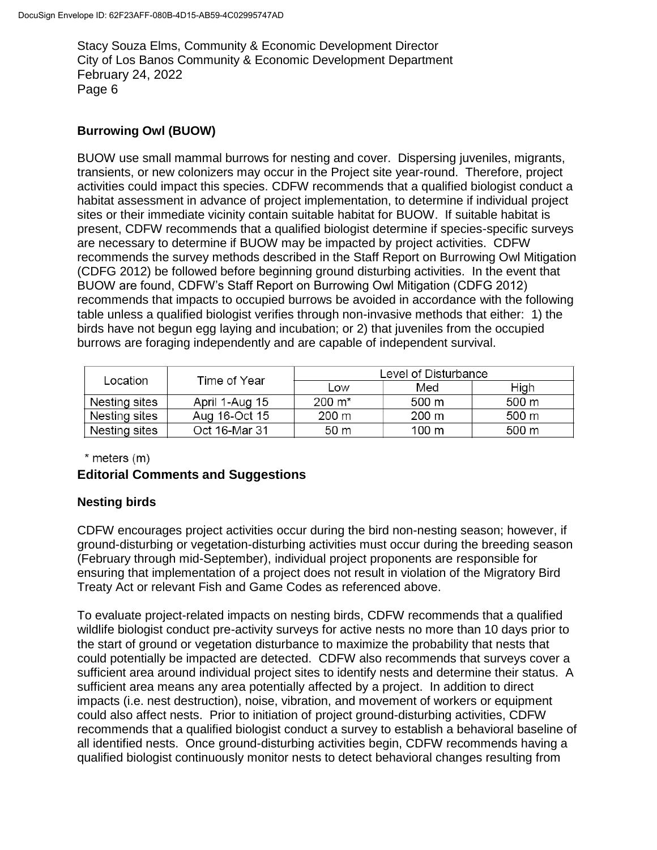## **Burrowing Owl (BUOW)**

BUOW use small mammal burrows for nesting and cover. Dispersing juveniles, migrants, transients, or new colonizers may occur in the Project site year-round. Therefore, project activities could impact this species. CDFW recommends that a qualified biologist conduct a habitat assessment in advance of project implementation, to determine if individual project sites or their immediate vicinity contain suitable habitat for BUOW. If suitable habitat is present, CDFW recommends that a qualified biologist determine if species-specific surveys are necessary to determine if BUOW may be impacted by project activities. CDFW recommends the survey methods described in the Staff Report on Burrowing Owl Mitigation (CDFG 2012) be followed before beginning ground disturbing activities. In the event that BUOW are found, CDFW's Staff Report on Burrowing Owl Mitigation (CDFG 2012) recommends that impacts to occupied burrows be avoided in accordance with the following table unless a qualified biologist verifies through non-invasive methods that either: 1) the birds have not begun egg laying and incubation; or 2) that juveniles from the occupied burrows are foraging independently and are capable of independent survival.

| Location      | Time of Year   | Level of Disturbance |       |       |
|---------------|----------------|----------------------|-------|-------|
|               |                | Low                  | Med   | High  |
| Nesting sites | April 1-Aug 15 | $200 \; \text{m}^*$  | 500 m | 500 m |
| Nesting sites | Aug 16-Oct 15  | 200 m                | 200 m | 500 m |
| Nesting sites | Oct 16-Mar 31  | 50 m                 | 100 m | 500 m |

 $*$  meters  $(m)$ 

## **Editorial Comments and Suggestions**

## **Nesting birds**

CDFW encourages project activities occur during the bird non-nesting season; however, if ground-disturbing or vegetation-disturbing activities must occur during the breeding season (February through mid-September), individual project proponents are responsible for ensuring that implementation of a project does not result in violation of the Migratory Bird Treaty Act or relevant Fish and Game Codes as referenced above.

To evaluate project-related impacts on nesting birds, CDFW recommends that a qualified wildlife biologist conduct pre-activity surveys for active nests no more than 10 days prior to the start of ground or vegetation disturbance to maximize the probability that nests that could potentially be impacted are detected. CDFW also recommends that surveys cover a sufficient area around individual project sites to identify nests and determine their status. A sufficient area means any area potentially affected by a project. In addition to direct impacts (i.e. nest destruction), noise, vibration, and movement of workers or equipment could also affect nests. Prior to initiation of project ground-disturbing activities, CDFW recommends that a qualified biologist conduct a survey to establish a behavioral baseline of all identified nests. Once ground-disturbing activities begin, CDFW recommends having a qualified biologist continuously monitor nests to detect behavioral changes resulting from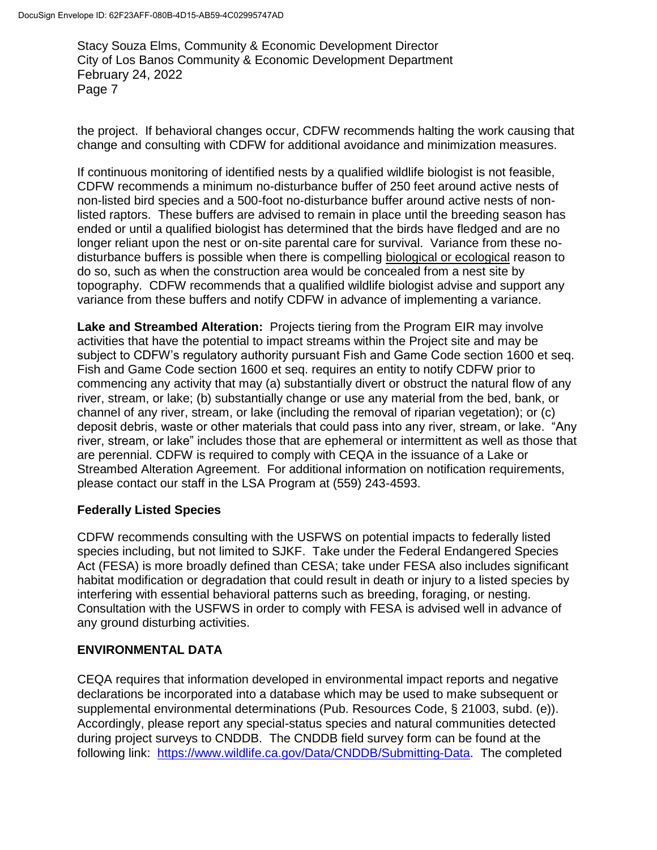the project. If behavioral changes occur, CDFW recommends halting the work causing that change and consulting with CDFW for additional avoidance and minimization measures.

If continuous monitoring of identified nests by a qualified wildlife biologist is not feasible, CDFW recommends a minimum no-disturbance buffer of 250 feet around active nests of non-listed bird species and a 500-foot no-disturbance buffer around active nests of nonlisted raptors. These buffers are advised to remain in place until the breeding season has ended or until a qualified biologist has determined that the birds have fledged and are no longer reliant upon the nest or on-site parental care for survival. Variance from these nodisturbance buffers is possible when there is compelling biological or ecological reason to do so, such as when the construction area would be concealed from a nest site by topography. CDFW recommends that a qualified wildlife biologist advise and support any variance from these buffers and notify CDFW in advance of implementing a variance.

**Lake and Streambed Alteration:** Projects tiering from the Program EIR may involve activities that have the potential to impact streams within the Project site and may be subject to CDFW's regulatory authority pursuant Fish and Game Code section 1600 et seq. Fish and Game Code section 1600 et seq. requires an entity to notify CDFW prior to commencing any activity that may (a) substantially divert or obstruct the natural flow of any river, stream, or lake; (b) substantially change or use any material from the bed, bank, or channel of any river, stream, or lake (including the removal of riparian vegetation); or (c) deposit debris, waste or other materials that could pass into any river, stream, or lake. "Any river, stream, or lake" includes those that are ephemeral or intermittent as well as those that are perennial. CDFW is required to comply with CEQA in the issuance of a Lake or Streambed Alteration Agreement. For additional information on notification requirements, please contact our staff in the LSA Program at (559) 243-4593.

## **Federally Listed Species**

CDFW recommends consulting with the USFWS on potential impacts to federally listed species including, but not limited to SJKF. Take under the Federal Endangered Species Act (FESA) is more broadly defined than CESA; take under FESA also includes significant habitat modification or degradation that could result in death or injury to a listed species by interfering with essential behavioral patterns such as breeding, foraging, or nesting. Consultation with the USFWS in order to comply with FESA is advised well in advance of any ground disturbing activities.

## **ENVIRONMENTAL DATA**

CEQA requires that information developed in environmental impact reports and negative declarations be incorporated into a database which may be used to make subsequent or supplemental environmental determinations (Pub. Resources Code, § 21003, subd. (e)). Accordingly, please report any special-status species and natural communities detected during project surveys to CNDDB. The CNDDB field survey form can be found at the following link: [https://www.wildlife.ca.gov/Data/CNDDB/Submitting-Data.](https://www.wildlife.ca.gov/Data/CNDDB/Submitting-Data) The completed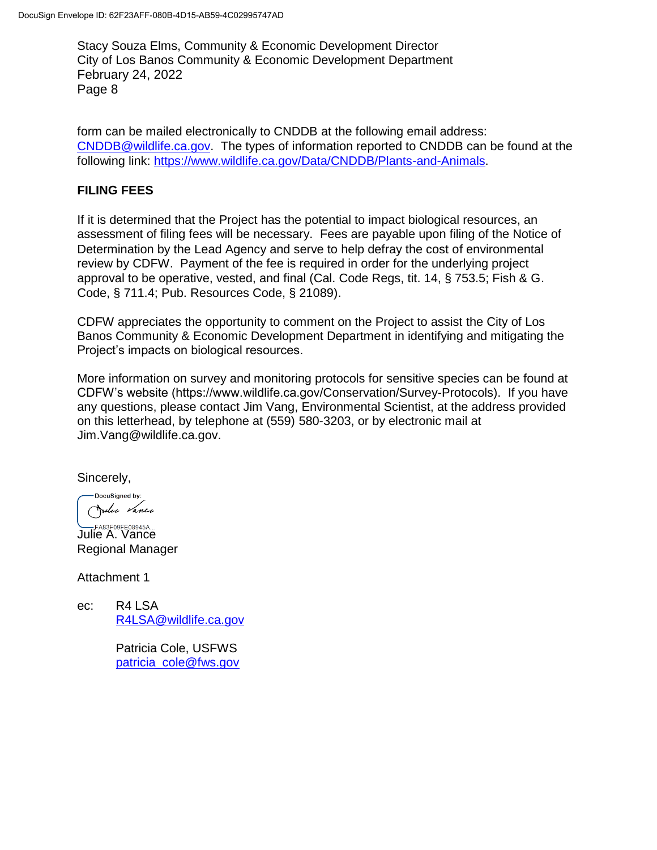form can be mailed electronically to CNDDB at the following email address: [CNDDB@wildlife.ca.gov.](mailto:CNDDB@wildlife.ca.gov) The types of information reported to CNDDB can be found at the following link: [https://www.wildlife.ca.gov/Data/CNDDB/Plants-and-Animals.](https://www.wildlife.ca.gov/Data/CNDDB/Plants-and-Animals)

## **FILING FEES**

If it is determined that the Project has the potential to impact biological resources, an assessment of filing fees will be necessary. Fees are payable upon filing of the Notice of Determination by the Lead Agency and serve to help defray the cost of environmental review by CDFW. Payment of the fee is required in order for the underlying project approval to be operative, vested, and final (Cal. Code Regs, tit. 14, § 753.5; Fish & G. Code, § 711.4; Pub. Resources Code, § 21089).

CDFW appreciates the opportunity to comment on the Project to assist the City of Los Banos Community & Economic Development Department in identifying and mitigating the Project's impacts on biological resources.

More information on survey and monitoring protocols for sensitive species can be found at CDFW's website (https://www.wildlife.ca.gov/Conservation/Survey-Protocols). If you have any questions, please contact Jim Vang, Environmental Scientist, at the address provided on this letterhead, by telephone at (559) 580-3203, or by electronic mail at Jim.Vang@wildlife.ca.gov.

Sincerely,

DocuSigned by: Julie Vance

**LABSFOSFEO8945A...**<br>Julie A. Vance Regional Manager

Attachment 1

ec: R4 LSA [R4LSA@wildlife.ca.gov](mailto:R4LSA@wildlife.ca.gov)

> Patricia Cole, USFWS [patricia\\_cole@fws.gov](mailto:patricia_cole@fws.gov)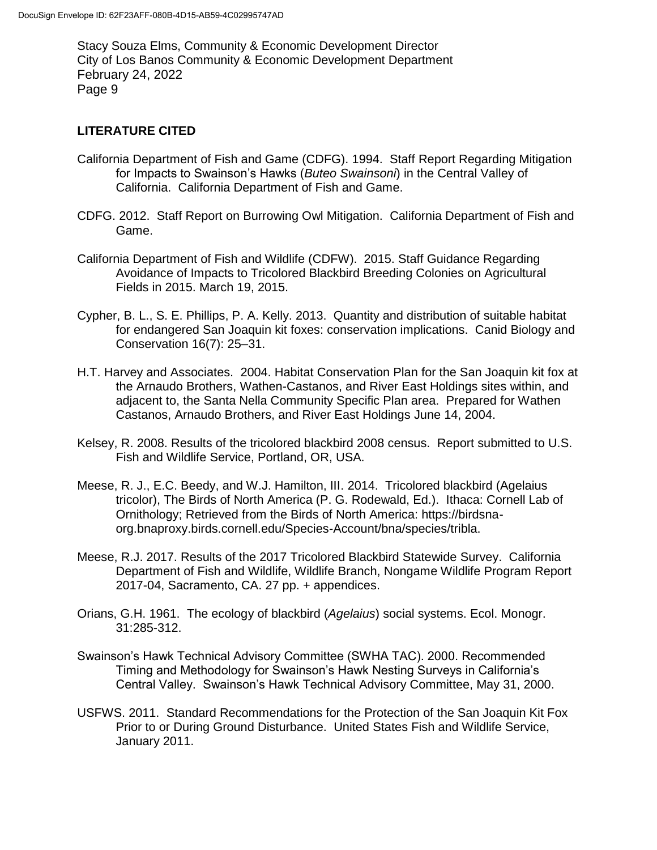#### **LITERATURE CITED**

- California Department of Fish and Game (CDFG). 1994. Staff Report Regarding Mitigation for Impacts to Swainson's Hawks (*Buteo Swainsoni*) in the Central Valley of California. California Department of Fish and Game.
- CDFG. 2012. Staff Report on Burrowing Owl Mitigation. California Department of Fish and Game.
- California Department of Fish and Wildlife (CDFW). 2015. Staff Guidance Regarding Avoidance of Impacts to Tricolored Blackbird Breeding Colonies on Agricultural Fields in 2015. March 19, 2015.
- Cypher, B. L., S. E. Phillips, P. A. Kelly. 2013. Quantity and distribution of suitable habitat for endangered San Joaquin kit foxes: conservation implications. Canid Biology and Conservation 16(7): 25–31.
- H.T. Harvey and Associates. 2004. Habitat Conservation Plan for the San Joaquin kit fox at the Arnaudo Brothers, Wathen-Castanos, and River East Holdings sites within, and adjacent to, the Santa Nella Community Specific Plan area. Prepared for Wathen Castanos, Arnaudo Brothers, and River East Holdings June 14, 2004.
- Kelsey, R. 2008. Results of the tricolored blackbird 2008 census. Report submitted to U.S. Fish and Wildlife Service, Portland, OR, USA.
- Meese, R. J., E.C. Beedy, and W.J. Hamilton, III. 2014. Tricolored blackbird (Agelaius tricolor), The Birds of North America (P. G. Rodewald, Ed.). Ithaca: Cornell Lab of Ornithology; Retrieved from the Birds of North America: https://birdsnaorg.bnaproxy.birds.cornell.edu/Species-Account/bna/species/tribla.
- Meese, R.J. 2017. Results of the 2017 Tricolored Blackbird Statewide Survey. California Department of Fish and Wildlife, Wildlife Branch, Nongame Wildlife Program Report 2017-04, Sacramento, CA. 27 pp. + appendices.
- Orians, G.H. 1961. The ecology of blackbird (*Agelaius*) social systems. Ecol. Monogr. 31:285-312.
- Swainson's Hawk Technical Advisory Committee (SWHA TAC). 2000. Recommended Timing and Methodology for Swainson's Hawk Nesting Surveys in California's Central Valley. Swainson's Hawk Technical Advisory Committee, May 31, 2000.
- USFWS. 2011. Standard Recommendations for the Protection of the San Joaquin Kit Fox Prior to or During Ground Disturbance. United States Fish and Wildlife Service, January 2011.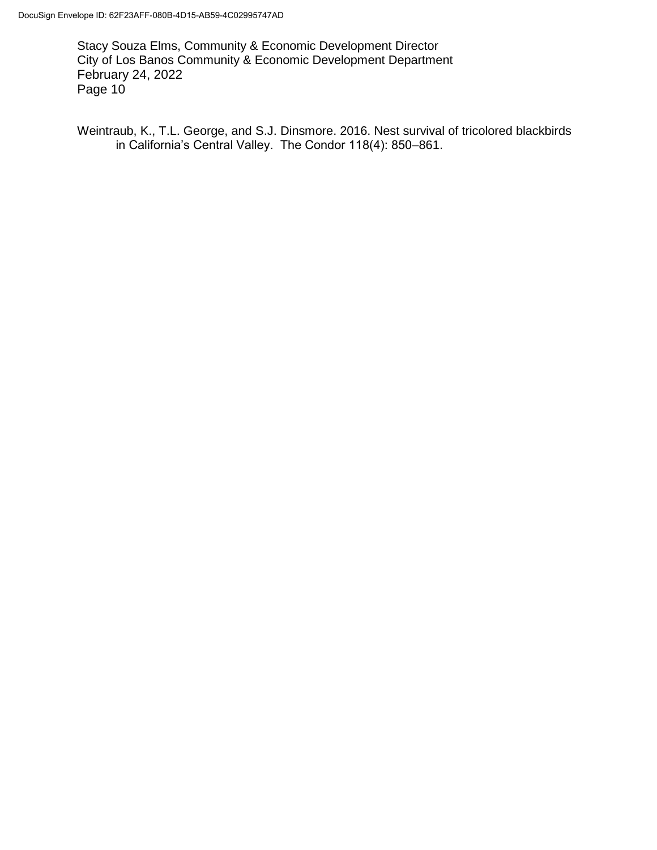Weintraub, K., T.L. George, and S.J. Dinsmore. 2016. Nest survival of tricolored blackbirds in California's Central Valley. The Condor 118(4): 850–861.